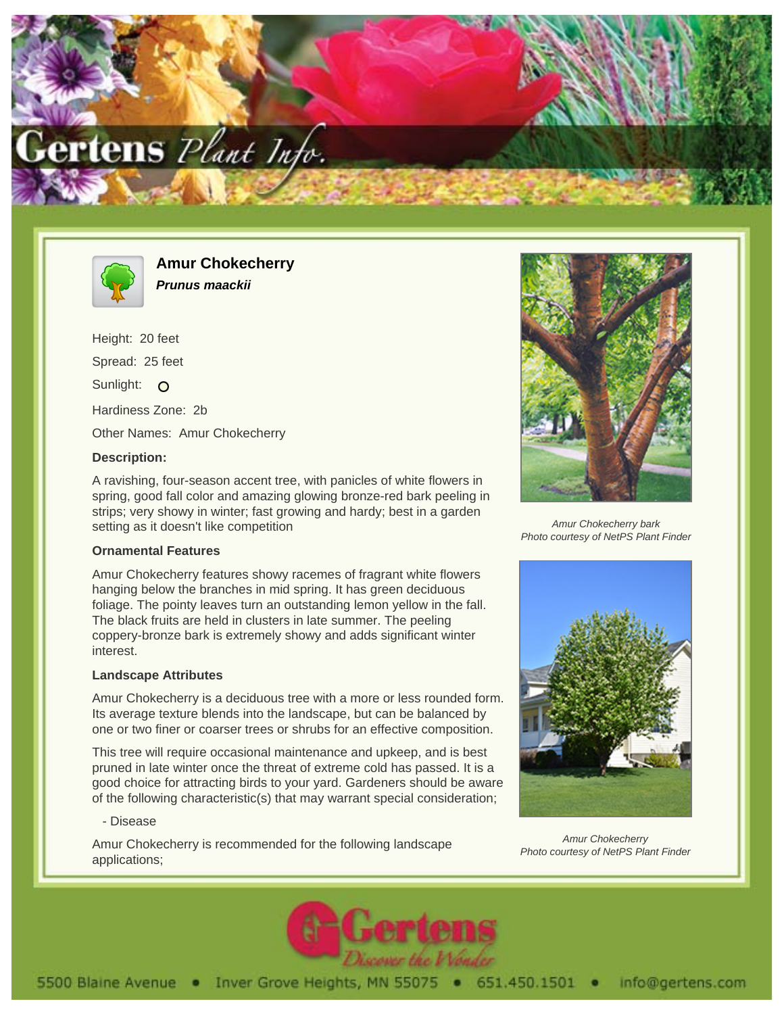



**Amur Chokecherry Prunus maackii**

Height: 20 feet Spread: 25 feet Sunlight: O Hardiness Zone: 2b Other Names: Amur Chokecherry

### **Description:**

A ravishing, four-season accent tree, with panicles of white flowers in spring, good fall color and amazing glowing bronze-red bark peeling in strips; very showy in winter; fast growing and hardy; best in a garden setting as it doesn't like competition

## **Ornamental Features**

Amur Chokecherry features showy racemes of fragrant white flowers hanging below the branches in mid spring. It has green deciduous foliage. The pointy leaves turn an outstanding lemon yellow in the fall. The black fruits are held in clusters in late summer. The peeling coppery-bronze bark is extremely showy and adds significant winter interest.

## **Landscape Attributes**

Amur Chokecherry is a deciduous tree with a more or less rounded form. Its average texture blends into the landscape, but can be balanced by one or two finer or coarser trees or shrubs for an effective composition.

This tree will require occasional maintenance and upkeep, and is best pruned in late winter once the threat of extreme cold has passed. It is a good choice for attracting birds to your yard. Gardeners should be aware of the following characteristic(s) that may warrant special consideration;

#### - Disease

Amur Chokecherry is recommended for the following landscape applications;



Amur Chokecherry bark Photo courtesy of NetPS Plant Finder



Amur Chokecherry Photo courtesy of NetPS Plant Finder